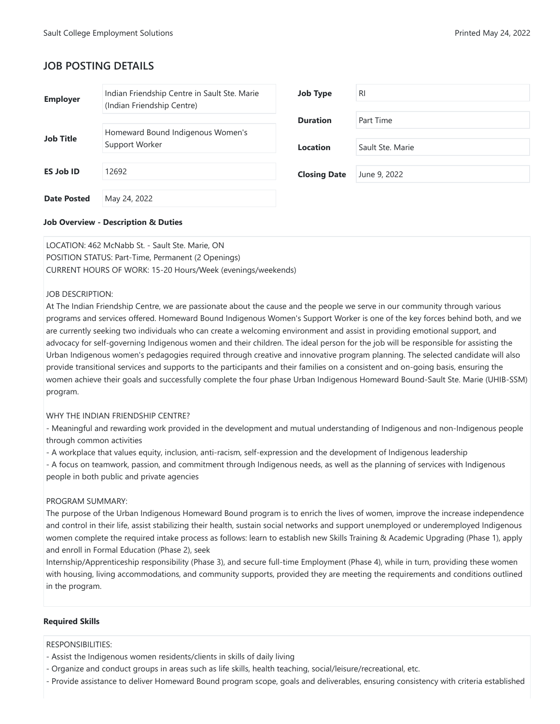# **JOB POSTING DETAILS**

| <b>Employer</b>    | Indian Friendship Centre in Sault Ste. Marie<br>(Indian Friendship Centre) | <b>Job Type</b>     | <b>RI</b>        |
|--------------------|----------------------------------------------------------------------------|---------------------|------------------|
|                    |                                                                            | <b>Duration</b>     | Part Time        |
| <b>Job Title</b>   | Homeward Bound Indigenous Women's<br>Support Worker                        | <b>Location</b>     | Sault Ste. Marie |
|                    |                                                                            |                     |                  |
| <b>ES Job ID</b>   | 12692                                                                      | <b>Closing Date</b> | June 9, 2022     |
| <b>Date Posted</b> | May 24, 2022                                                               |                     |                  |

# **Job Overview - Description & Duties**

LOCATION: 462 McNabb St. - Sault Ste. Marie, ON POSITION STATUS: Part-Time, Permanent (2 Openings) CURRENT HOURS OF WORK: 15-20 Hours/Week (evenings/weekends)

# JOB DESCRIPTION:

At The Indian Friendship Centre, we are passionate about the cause and the people we serve in our community through various programs and services offered. Homeward Bound Indigenous Women's Support Worker is one of the key forces behind both, and we are currently seeking two individuals who can create a welcoming environment and assist in providing emotional support, and advocacy for self-governing Indigenous women and their children. The ideal person for the job will be responsible for assisting the Urban Indigenous women's pedagogies required through creative and innovative program planning. The selected candidate will also provide transitional services and supports to the participants and their families on a consistent and on-going basis, ensuring the women achieve their goals and successfully complete the four phase Urban Indigenous Homeward Bound-Sault Ste. Marie (UHIB-SSM) program.

#### WHY THE INDIAN FRIENDSHIP CENTRE?

- Meaningful and rewarding work provided in the development and mutual understanding of Indigenous and non-Indigenous people through common activities

- A workplace that values equity, inclusion, anti-racism, self-expression and the development of Indigenous leadership

- A focus on teamwork, passion, and commitment through Indigenous needs, as well as the planning of services with Indigenous people in both public and private agencies

#### PROGRAM SUMMARY:

The purpose of the Urban Indigenous Homeward Bound program is to enrich the lives of women, improve the increase independence and control in their life, assist stabilizing their health, sustain social networks and support unemployed or underemployed Indigenous women complete the required intake process as follows: learn to establish new Skills Training & Academic Upgrading (Phase 1), apply and enroll in Formal Education (Phase 2), seek

Internship/Apprenticeship responsibility (Phase 3), and secure full-time Employment (Phase 4), while in turn, providing these women with housing, living accommodations, and community supports, provided they are meeting the requirements and conditions outlined in the program.

#### **Required Skills**

#### RESPONSIBILITIES:

- Assist the Indigenous women residents/clients in skills of daily living
- Organize and conduct groups in areas such as life skills, health teaching, social/leisure/recreational, etc.
- Provide assistance to deliver Homeward Bound program scope, goals and deliverables, ensuring consistency with criteria established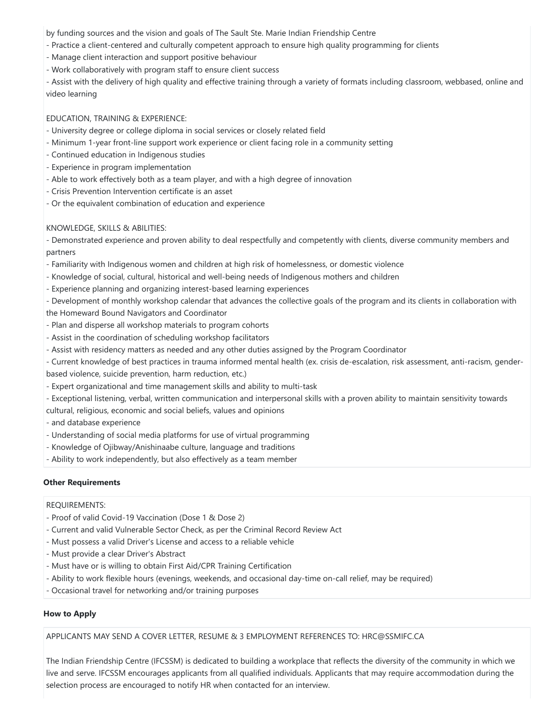by funding sources and the vision and goals of The Sault Ste. Marie Indian Friendship Centre

- Practice a client-centered and culturally competent approach to ensure high quality programming for clients
- Manage client interaction and support positive behaviour
- Work collaboratively with program staff to ensure client success

- Assist with the delivery of high quality and effective training through a variety of formats including classroom, webbased, online and video learning

# EDUCATION, TRAINING & EXPERIENCE:

- University degree or college diploma in social services or closely related field
- Minimum 1-year front-line support work experience or client facing role in a community setting
- Continued education in Indigenous studies
- Experience in program implementation
- Able to work effectively both as a team player, and with a high degree of innovation
- Crisis Prevention Intervention certificate is an asset
- Or the equivalent combination of education and experience

# KNOWLEDGE, SKILLS & ABILITIES:

- Demonstrated experience and proven ability to deal respectfully and competently with clients, diverse community members and partners

- Familiarity with Indigenous women and children at high risk of homelessness, or domestic violence
- Knowledge of social, cultural, historical and well-being needs of Indigenous mothers and children
- Experience planning and organizing interest-based learning experiences

- Development of monthly workshop calendar that advances the collective goals of the program and its clients in collaboration with the Homeward Bound Navigators and Coordinator

- Plan and disperse all workshop materials to program cohorts
- Assist in the coordination of scheduling workshop facilitators
- Assist with residency matters as needed and any other duties assigned by the Program Coordinator
- Current knowledge of best practices in trauma informed mental health (ex. crisis de-escalation, risk assessment, anti-racism, genderbased violence, suicide prevention, harm reduction, etc.)
- Expert organizational and time management skills and ability to multi-task
- Exceptional listening, verbal, written communication and interpersonal skills with a proven ability to maintain sensitivity towards cultural, religious, economic and social beliefs, values and opinions
- and database experience
- Understanding of social media platforms for use of virtual programming
- Knowledge of Ojibway/Anishinaabe culture, language and traditions
- Ability to work independently, but also effectively as a team member

# **Other Requirements**

#### REQUIREMENTS:

- Proof of valid Covid-19 Vaccination (Dose 1 & Dose 2)
- Current and valid Vulnerable Sector Check, as per the Criminal Record Review Act
- Must possess a valid Driver's License and access to a reliable vehicle
- Must provide a clear Driver's Abstract
- Must have or is willing to obtain First Aid/CPR Training Certification
- Ability to work flexible hours (evenings, weekends, and occasional day-time on-call relief, may be required)
- Occasional travel for networking and/or training purposes

# **How to Apply**

APPLICANTS MAY SEND A COVER LETTER, RESUME & 3 EMPLOYMENT REFERENCES TO: HRC@SSMIFC.CA

The Indian Friendship Centre (IFCSSM) is dedicated to building a workplace that reflects the diversity of the community in which we live and serve. IFCSSM encourages applicants from all qualified individuals. Applicants that may require accommodation during the selection process are encouraged to notify HR when contacted for an interview.